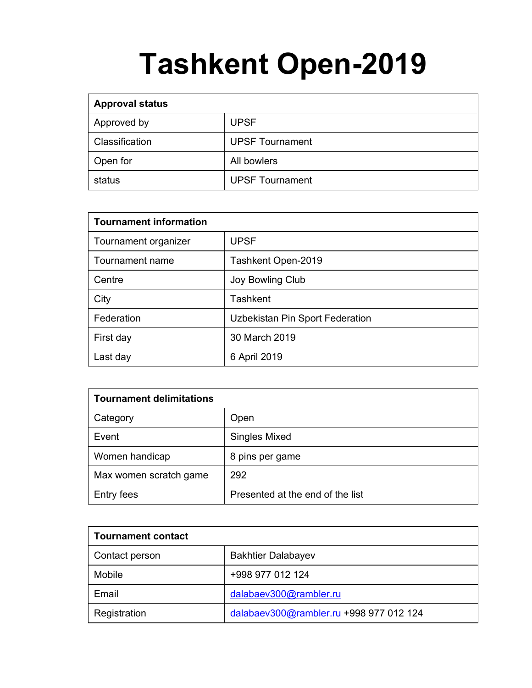# **Tashkent Open-2019**

| <b>Approval status</b> |                        |  |  |
|------------------------|------------------------|--|--|
| Approved by            | <b>UPSF</b>            |  |  |
| Classification         | <b>UPSF Tournament</b> |  |  |
| Open for               | All bowlers            |  |  |
| status                 | <b>UPSF Tournament</b> |  |  |

| <b>Tournament information</b> |                                 |  |  |
|-------------------------------|---------------------------------|--|--|
| Tournament organizer          | <b>UPSF</b>                     |  |  |
| Tournament name               | Tashkent Open-2019              |  |  |
| Centre                        | Joy Bowling Club                |  |  |
| City                          | <b>Tashkent</b>                 |  |  |
| Federation                    | Uzbekistan Pin Sport Federation |  |  |
| First day                     | 30 March 2019                   |  |  |
| Last day                      | 6 April 2019                    |  |  |

| <b>Tournament delimitations</b> |                                  |  |  |
|---------------------------------|----------------------------------|--|--|
| Category                        | Open                             |  |  |
| Event                           | <b>Singles Mixed</b>             |  |  |
| Women handicap                  | 8 pins per game                  |  |  |
| Max women scratch game          | 292                              |  |  |
| <b>Entry fees</b>               | Presented at the end of the list |  |  |

| <b>Tournament contact</b> |                                         |  |  |
|---------------------------|-----------------------------------------|--|--|
| Contact person            | <b>Bakhtier Dalabayev</b>               |  |  |
| Mobile                    | +998 977 012 124                        |  |  |
| Email                     | dalabaev300@rambler.ru                  |  |  |
| Registration              | dalabaev300@rambler.ru +998 977 012 124 |  |  |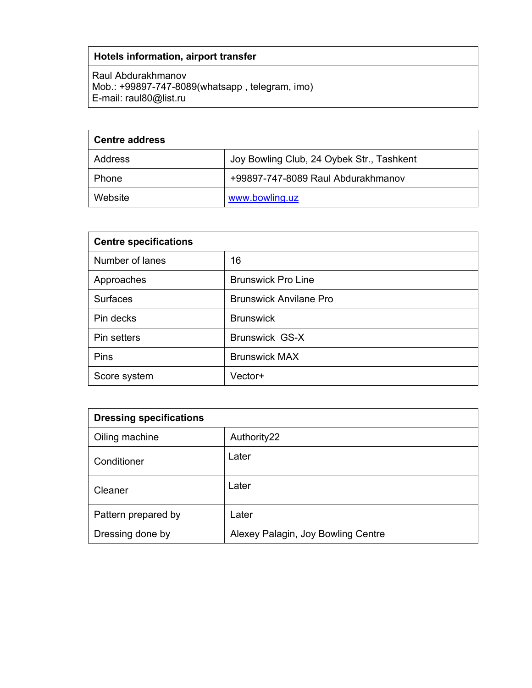# **Hotels information, airport transfer**

Raul Abdurakhmanov Mob.: +99897-747-8089(whatsapp , telegram, imo) E-mail: raul80@list.ru

| <b>Centre address</b> |                                           |
|-----------------------|-------------------------------------------|
| Address               | Joy Bowling Club, 24 Oybek Str., Tashkent |
| Phone                 | +99897-747-8089 Raul Abdurakhmanov        |
| Website               | www.bowling.uz                            |

| <b>Centre specifications</b> |                               |  |
|------------------------------|-------------------------------|--|
| Number of lanes              | 16                            |  |
| Approaches                   | <b>Brunswick Pro Line</b>     |  |
| <b>Surfaces</b>              | <b>Brunswick Anvilane Pro</b> |  |
| Pin decks                    | <b>Brunswick</b>              |  |
| Pin setters                  | <b>Brunswick GS-X</b>         |  |
| <b>Pins</b>                  | <b>Brunswick MAX</b>          |  |
| Score system                 | Vector+                       |  |

| <b>Dressing specifications</b> |                                    |  |  |
|--------------------------------|------------------------------------|--|--|
| Oiling machine                 | Authority22                        |  |  |
| Conditioner                    | Later                              |  |  |
| Cleaner                        | Later                              |  |  |
| Pattern prepared by            | Later                              |  |  |
| Dressing done by               | Alexey Palagin, Joy Bowling Centre |  |  |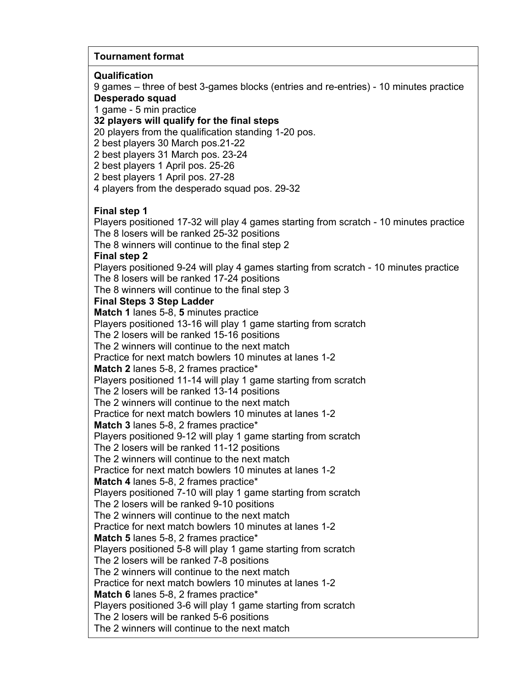## **Tournament format**

#### **Qualification**

9 games – three of best 3-games blocks (entries and re-entries) - 10 minutes practice **Desperado squad** 

1 game - 5 min practice

## **32 players will qualify for the final steps**

20 players from the qualification standing 1-20 pos.

2 best players 30 March pos.21-22

2 best players 31 March pos. 23-24

2 best players 1 April pos. 25-26

2 best players 1 April pos. 27-28

4 players from the desperado squad pos. 29-32

## **Final step 1**

Players positioned 17-32 will play 4 games starting from scratch - 10 minutes practice The 8 losers will be ranked 25-32 positions

The 8 winners will continue to the final step 2

### **Final step 2**

Players positioned 9-24 will play 4 games starting from scratch - 10 minutes practice The 8 losers will be ranked 17-24 positions

The 8 winners will continue to the final step 3

# **Final Steps 3 Step Ladder**

**Match 1** lanes 5-8, **5** minutes practice Players positioned 13-16 will play 1 game starting from scratch The 2 losers will be ranked 15-16 positions The 2 winners will continue to the next match Practice for next match bowlers 10 minutes at lanes 1-2 **Match 2** lanes 5-8, 2 frames practice\* Players positioned 11-14 will play 1 game starting from scratch The 2 losers will be ranked 13-14 positions The 2 winners will continue to the next match Practice for next match bowlers 10 minutes at lanes 1-2 **Match 3** lanes 5-8, 2 frames practice\* Players positioned 9-12 will play 1 game starting from scratch The 2 losers will be ranked 11-12 positions The 2 winners will continue to the next match Practice for next match bowlers 10 minutes at lanes 1-2 **Match 4** lanes 5-8, 2 frames practice\* Players positioned 7-10 will play 1 game starting from scratch The 2 losers will be ranked 9-10 positions The 2 winners will continue to the next match Practice for next match bowlers 10 minutes at lanes 1-2 **Match 5** lanes 5-8, 2 frames practice\* Players positioned 5-8 will play 1 game starting from scratch The 2 losers will be ranked 7-8 positions The 2 winners will continue to the next match Practice for next match bowlers 10 minutes at lanes 1-2 **Match 6** lanes 5-8, 2 frames practice\* Players positioned 3-6 will play 1 game starting from scratch The 2 losers will be ranked 5-6 positions The 2 winners will continue to the next match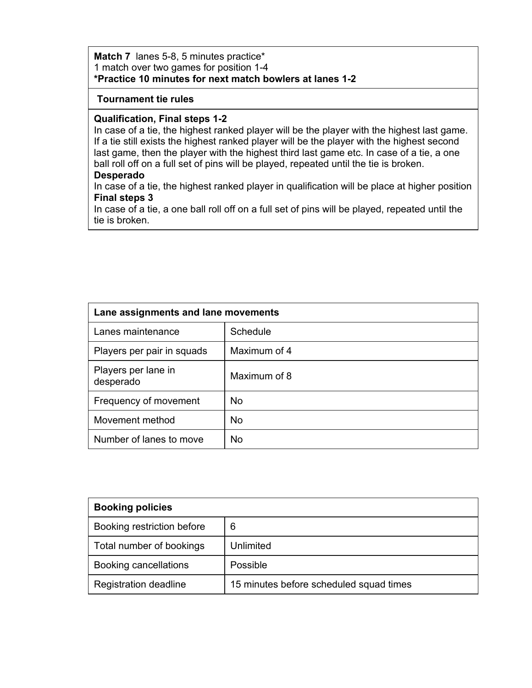#### **Match 7** lanes 5-8, 5 minutes practice\* 1 match over two games for position 1-4 **\*Practice 10 minutes for next match bowlers at lanes 1-2**

#### **Tournament tie rules**

#### **Qualification, Final steps 1-2**

In case of a tie, the highest ranked player will be the player with the highest last game. If a tie still exists the highest ranked player will be the player with the highest second last game, then the player with the highest third last game etc. In case of a tie, a one ball roll off on a full set of pins will be played, repeated until the tie is broken.

#### **Desperado**

In case of a tie, the highest ranked player in qualification will be place at higher position **Final steps 3**

In case of a tie, a one ball roll off on a full set of pins will be played, repeated until the tie is broken.

| Lane assignments and lane movements |              |  |
|-------------------------------------|--------------|--|
| Lanes maintenance                   | Schedule     |  |
| Players per pair in squads          | Maximum of 4 |  |
| Players per lane in<br>desperado    | Maximum of 8 |  |
| Frequency of movement               | <b>No</b>    |  |
| Movement method                     | No           |  |
| Number of lanes to move             | <b>No</b>    |  |

| <b>Booking policies</b>      |                                         |  |  |
|------------------------------|-----------------------------------------|--|--|
| Booking restriction before   | 6                                       |  |  |
| Total number of bookings     | Unlimited                               |  |  |
| <b>Booking cancellations</b> | Possible                                |  |  |
| Registration deadline        | 15 minutes before scheduled squad times |  |  |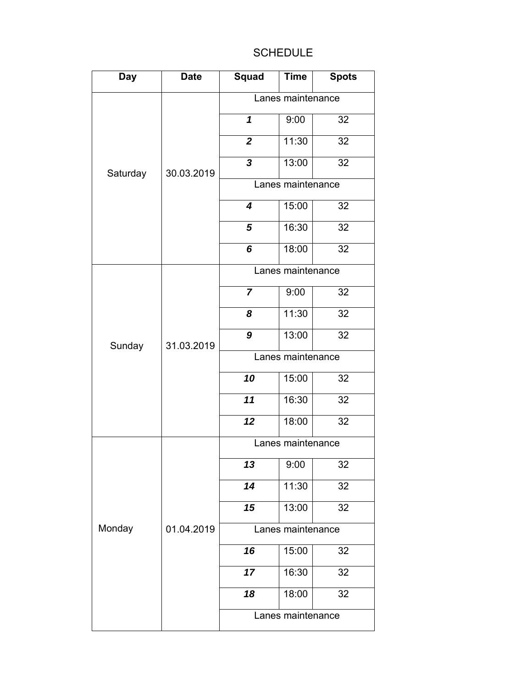# SCHEDULE

| <b>Day</b> | <b>Date</b> | <b>Squad</b>            | <b>Time</b>       | <b>Spots</b> |
|------------|-------------|-------------------------|-------------------|--------------|
|            |             | Lanes maintenance       |                   |              |
|            |             | 1                       | 9:00              | 32           |
|            |             | $\overline{2}$          | 11:30             | 32           |
| Saturday   | 30.03.2019  | $\mathbf{3}$            | 13:00             | 32           |
|            |             |                         | Lanes maintenance |              |
|            |             | $\overline{\mathbf{4}}$ | 15:00             | 32           |
|            |             | 5                       | 16:30             | 32           |
|            |             | 6                       | 18:00             | 32           |
|            |             |                         | Lanes maintenance |              |
|            |             | 7                       | 9:00              | 32           |
|            |             | 8                       | 11:30             | 32           |
| Sunday     | 31.03.2019  | 9                       | 13:00             | 32           |
|            |             | Lanes maintenance       |                   |              |
|            |             | 10                      | 15:00             | 32           |
|            |             | 11                      | 16:30             | 32           |
|            |             | 12                      | 18:00             | 32           |
|            |             |                         | Lanes maintenance |              |
|            | 01.04.2019  | 13                      | 9:00              | 32           |
|            |             | 14                      | 11:30             | 32           |
| Monday     |             | 15                      | 13:00             | 32           |
|            |             | Lanes maintenance       |                   |              |
|            |             | 16                      | 15:00             | 32           |
|            |             | 17                      | 16:30             | 32           |
|            |             | 18                      | 18:00             | 32           |
|            |             |                         | Lanes maintenance |              |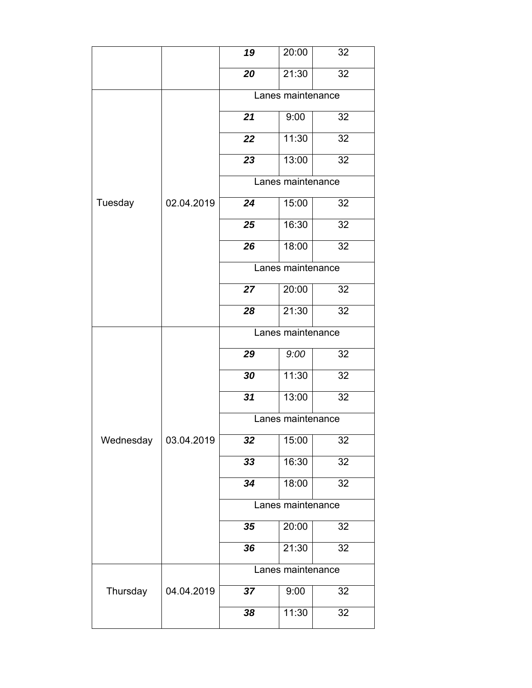|           |            | 19                | 20:00             | 32 |
|-----------|------------|-------------------|-------------------|----|
|           |            | 20                | 21:30             | 32 |
|           |            | Lanes maintenance |                   |    |
|           |            | 21                | 9:00              | 32 |
|           |            | 22                | 11:30             | 32 |
|           |            | 23                | 13:00             | 32 |
|           |            | Lanes maintenance |                   |    |
| Tuesday   | 02.04.2019 | 24                | 15:00             | 32 |
|           |            | 25                | 16:30             | 32 |
|           |            | 26                | 18:00             | 32 |
|           |            |                   | Lanes maintenance |    |
|           |            | 27                | 20:00             | 32 |
|           |            | 28                | 21:30             | 32 |
|           |            | Lanes maintenance |                   |    |
|           |            | 29                | 9:00              | 32 |
|           |            | 30                | 11:30             | 32 |
|           |            | 31                | 13:00             | 32 |
|           | 03.04.2019 | Lanes maintenance |                   |    |
| Wednesday |            | 32                | 15:00             | 32 |
|           |            | 33                | 16:30             | 32 |
|           |            | 34                | 18:00             | 32 |
|           |            | Lanes maintenance |                   |    |
|           |            | 35                | 20:00             | 32 |
|           |            | 36                | 21:30             | 32 |
|           |            |                   | Lanes maintenance |    |
| Thursday  | 04.04.2019 | 37                | 9:00              | 32 |
|           |            | 38                | 11:30             | 32 |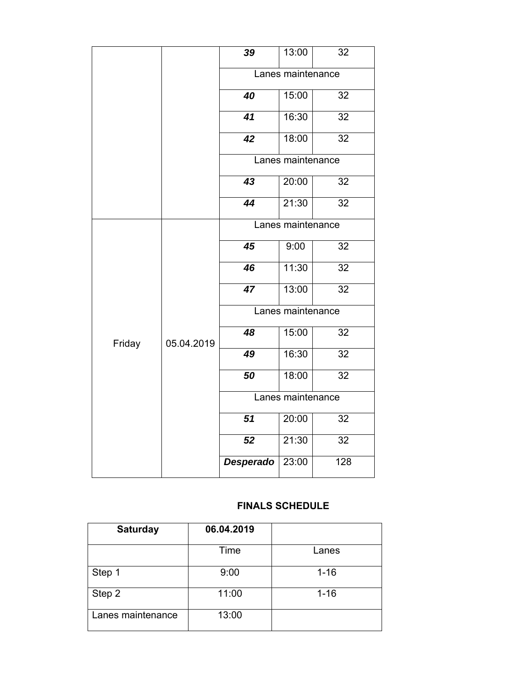|        |            | 39                | 13:00             | 32              |
|--------|------------|-------------------|-------------------|-----------------|
|        |            |                   | Lanes maintenance |                 |
|        |            | 40                | 15:00             | 32              |
|        |            | 41                | 16:30             | 32              |
|        |            | 42                | 18:00             | 32              |
|        |            |                   | Lanes maintenance |                 |
|        |            | 43                | 20:00             | 32              |
|        |            | 44                | 21:30             | 32              |
|        | 05.04.2019 |                   | Lanes maintenance |                 |
|        |            | 45                | 9:00              | 32              |
|        |            | 46                | 11:30             | 32              |
|        |            | 47                | 13:00             | 32              |
|        |            |                   | Lanes maintenance |                 |
| Friday |            | 48                | 15:00             | 32              |
|        |            | 49                | 16:30             | $\overline{32}$ |
|        |            | 50                | 18:00             | 32              |
|        |            | Lanes maintenance |                   |                 |
|        |            | $\overline{51}$   | 20:00             | 32              |
|        |            | 52                | 21:30             | 32              |
|        |            | <b>Desperado</b>  | 23:00             | 128             |

# **FINALS SCHEDULE**

| <b>Saturday</b>   | 06.04.2019 |          |
|-------------------|------------|----------|
|                   | Time       | Lanes    |
| Step 1            | 9:00       | $1 - 16$ |
| Step 2            | 11:00      | $1 - 16$ |
| Lanes maintenance | 13:00      |          |